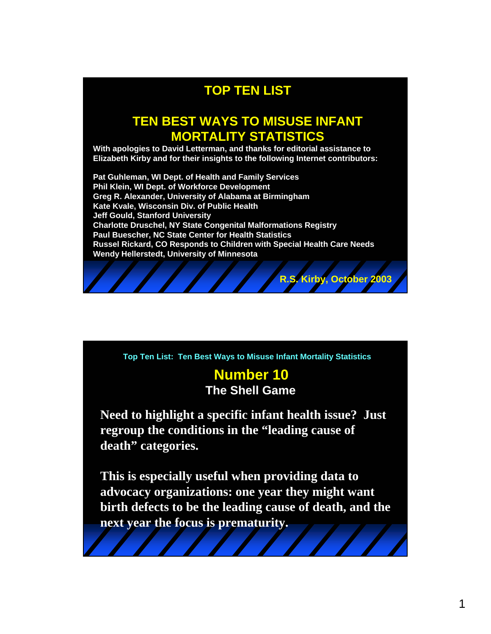# **TOP TEN LIST**

## **TEN BEST WAYS TO MISUSE INFANT MORTALITY STATISTICS**

**With apologies to David Letterman, and thanks for editorial assistance to Elizabeth Kirby and for their insights to the following Internet contributors:** 

**Pat Guhleman, WI Dept. of Health and Family Services Phil Klein, WI Dept. of Workforce Development Greg R. Alexander, University of Alabama at Birmingham Kate Kvale, Wisconsin Div. of Public Health Jeff Gould, Stanford University Charlotte Druschel, NY State Congenital Malformations Registry Paul Buescher, NC State Center for Health Statistics Russel Rickard, CO Responds to Children with Special Health Care Needs Wendy Hellerstedt, University of Minnesota**



**Top Ten List: Ten Best Ways to Misuse Infant Mortality Statistics**

## **Number 10 The Shell Game**

**Need to highlight a specific infant health issue? Just regroup the conditions in the "leading cause of death" categories.**

**This is especially useful when providing data to advocacy organizations: one year they might want birth defects to be the leading cause of death, and the next year the focus is prematurity.**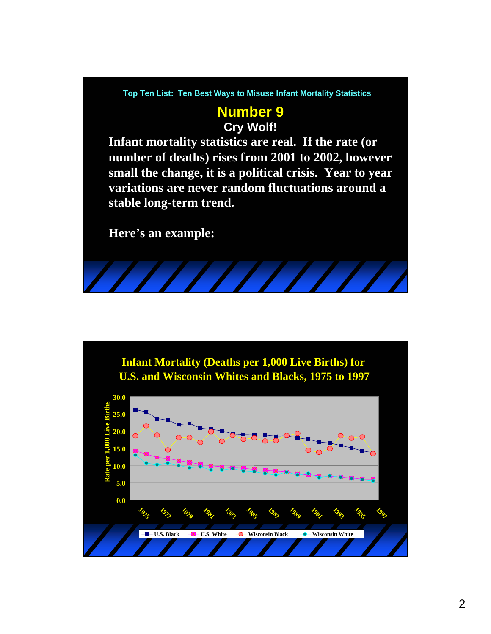#### **Top Ten List: Ten Best Ways to Misuse Infant Mortality Statistics**

## **Number 9 Cry Wolf!**

**Infant mortality statistics are real. If the rate (or number of deaths) rises from 2001 to 2002, however small the change, it is a political crisis. Year to year variations are never random fluctuations around a stable long-term trend.**

**Here's an example:**

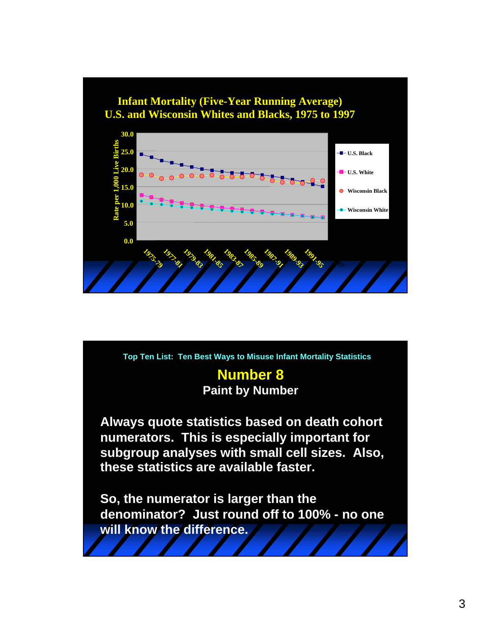

**Always quote statistics based on death cohort numerators. This is especially important for subgroup analyses with small cell sizes. Also, these statistics are available faster. So, the numerator is larger than the denominator? Just round off to 100% - no one will know the difference. Number 8 Top Ten List: Ten Best Ways to Misuse Infant Mortality Statistics Paint by Number**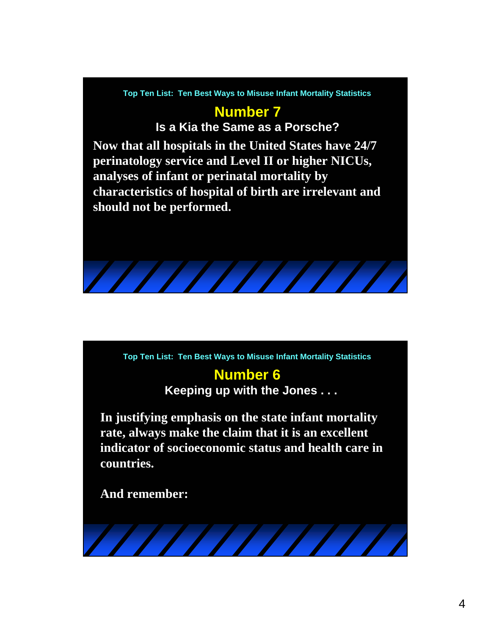

# **Number 7**

**Is a Kia the Same as a Porsche?**

**Now that all hospitals in the United States have 24/7 perinatology service and Level II or higher NICUs, analyses of infant or perinatal mortality by characteristics of hospital of birth are irrelevant and should not be performed.**

**Top Ten List: Ten Best Ways to Misuse Infant Mortality Statistics**

# **Number 6**

**Keeping up with the Jones . . .**

**In justifying emphasis on the state infant mortality rate, always make the claim that it is an excellent indicator of socioeconomic status and health care in countries.**

**And remember:**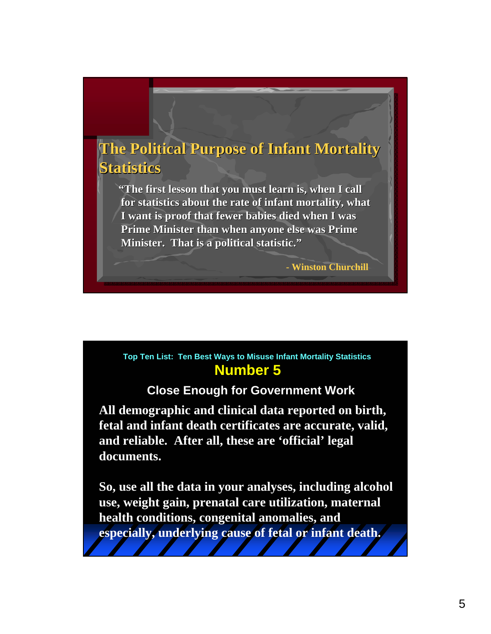# **The Political Purpose of Infant Mortality Statistics Statistics**

**"The first lesson that you must learn is, when I call for statistics about the rate of infant mortality, what I** want is proof that fewer babies died when I was **Prime Minister than when anyone else was Prime Minister. That is a political statistic."** 

**- Winston Churchill**

#### **Number 5 Top Ten List: Ten Best Ways to Misuse Infant Mortality Statistics**

## **Close Enough for Government Work**

**All demographic and clinical data reported on birth, fetal and infant death certificates are accurate, valid, and reliable. After all, these are 'official' legal documents.**

**So, use all the data in your analyses, including alcohol use, weight gain, prenatal care utilization, maternal health conditions, congenital anomalies, and especially, underlying cause of fetal or infant death.**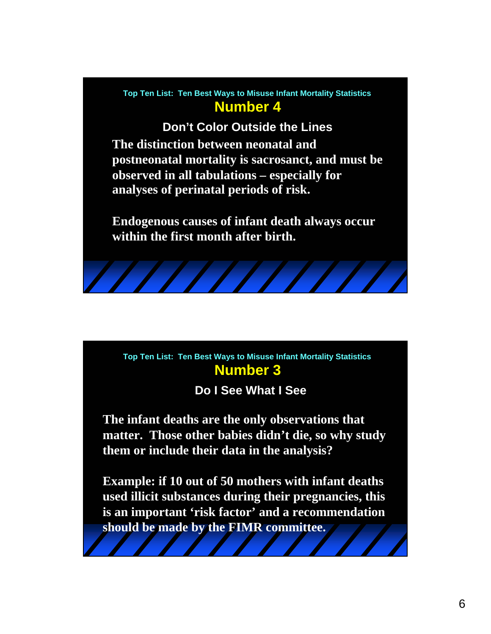#### **Number 4 Top Ten List: Ten Best Ways to Misuse Infant Mortality Statistics**

**The distinction between neonatal and postneonatal mortality is sacrosanct, and must be observed in all tabulations – especially for analyses of perinatal periods of risk. Don't Color Outside the Lines**

**Endogenous causes of infant death always occur within the first month after birth.**

#### **Number 3 Top Ten List: Ten Best Ways to Misuse Infant Mortality Statistics**

## **Do I See What I See**

**The infant deaths are the only observations that matter. Those other babies didn't die, so why study them or include their data in the analysis?**

**Example: if 10 out of 50 mothers with infant deaths used illicit substances during their pregnancies, this is an important 'risk factor' and a recommendation should be made by the FIMR committee.**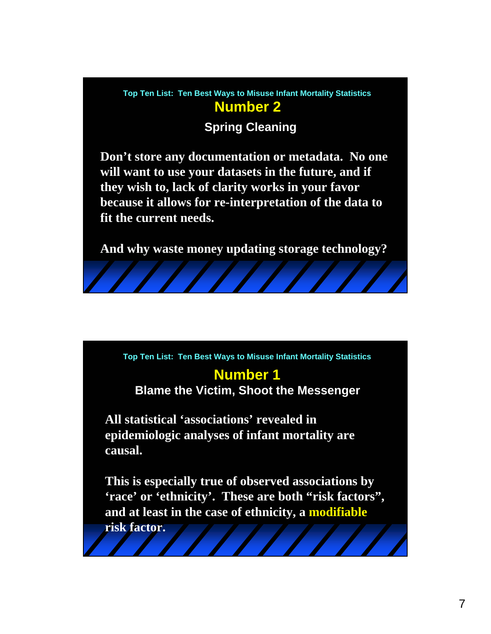#### **Number 2 Top Ten List: Ten Best Ways to Misuse Infant Mortality Statistics**

## **Spring Cleaning**

**Don't store any documentation or metadata. No one will want to use your datasets in the future, and if they wish to, lack of clarity works in your favor because it allows for re-interpretation of the data to fit the current needs.**

**And why waste money updating storage technology?**

**Top Ten List: Ten Best Ways to Misuse Infant Mortality Statistics**

# **Number 1**

**Blame the Victim, Shoot the Messenger**

**All statistical 'associations' revealed in epidemiologic analyses of infant mortality are causal.** 

**This is especially true of observed associations by 'race' or 'ethnicity'. These are both "risk factors", and at least in the case of ethnicity, a modifiable**

**risk factor.**